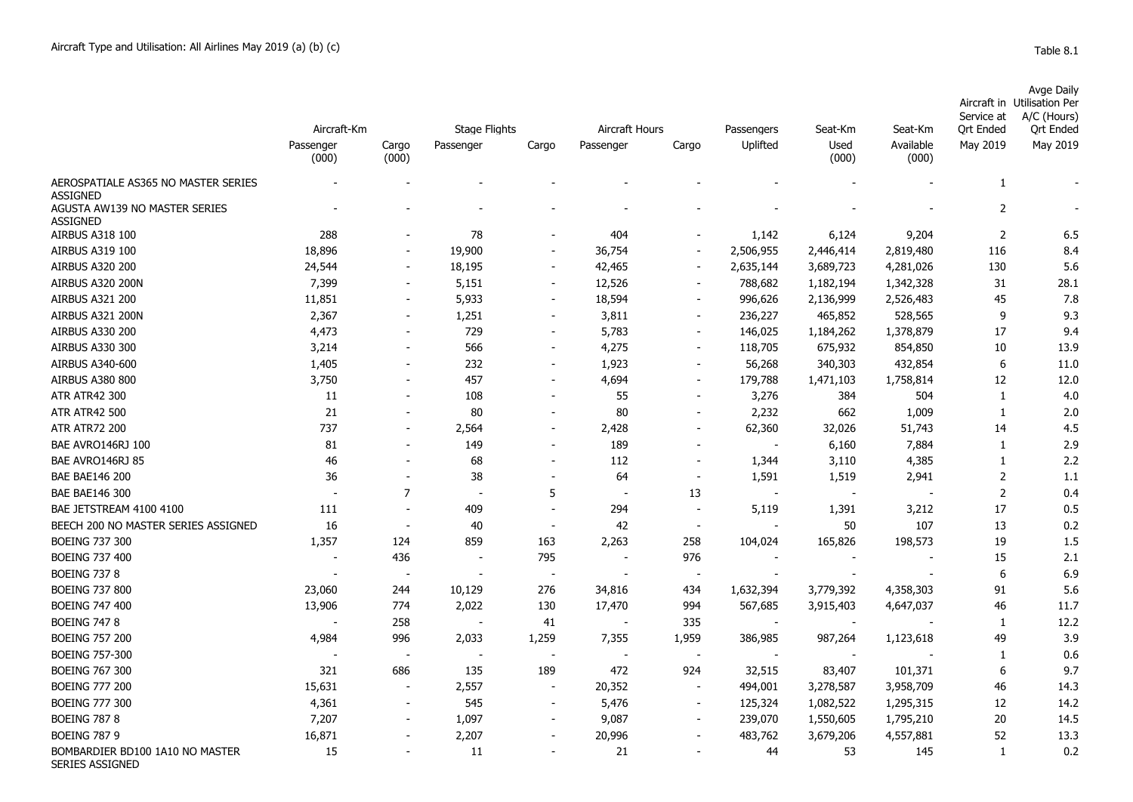| Avge Daily                  |  |
|-----------------------------|--|
|                             |  |
| Aircraft in Utilisation Per |  |
| Service at A/C (Hours)      |  |

|                                                           | Aircraft-Km        |                | <b>Stage Flights</b> |                          | Aircraft Hours |                          | Passengers               | Seat-Km       | Seat-Km            | Service at<br>Ort Ended | $A/C$ (Fours)<br><b>Qrt Ended</b> |
|-----------------------------------------------------------|--------------------|----------------|----------------------|--------------------------|----------------|--------------------------|--------------------------|---------------|--------------------|-------------------------|-----------------------------------|
|                                                           | Passenger<br>(000) | Cargo<br>(000) | Passenger            | Cargo                    | Passenger      | Cargo                    | Uplifted                 | Used<br>(000) | Available<br>(000) | May 2019                | May 2019                          |
| AEROSPATIALE AS365 NO MASTER SERIES<br><b>ASSIGNED</b>    |                    |                |                      |                          |                |                          |                          |               |                    | 1                       |                                   |
| AGUSTA AW139 NO MASTER SERIES<br><b>ASSIGNED</b>          |                    |                |                      |                          |                |                          |                          |               |                    | $\overline{2}$          |                                   |
| AIRBUS A318 100                                           | 288                |                | 78                   |                          | 404            |                          | 1,142                    | 6,124         | 9,204              | 2                       | 6.5                               |
| AIRBUS A319 100                                           | 18,896             |                | 19,900               |                          | 36,754         |                          | 2,506,955                | 2,446,414     | 2,819,480          | 116                     | 8.4                               |
| <b>AIRBUS A320 200</b>                                    | 24,544             |                | 18,195               |                          | 42,465         |                          | 2,635,144                | 3,689,723     | 4,281,026          | 130                     | 5.6                               |
| AIRBUS A320 200N                                          | 7,399              |                | 5,151                |                          | 12,526         |                          | 788,682                  | 1,182,194     | 1,342,328          | 31                      | 28.1                              |
| <b>AIRBUS A321 200</b>                                    | 11,851             |                | 5,933                | $\overline{\phantom{a}}$ | 18,594         |                          | 996,626                  | 2,136,999     | 2,526,483          | 45                      | 7.8                               |
| AIRBUS A321 200N                                          | 2,367              |                | 1,251                |                          | 3,811          | $\sim$                   | 236,227                  | 465,852       | 528,565            | 9                       | 9.3                               |
| AIRBUS A330 200                                           | 4,473              |                | 729                  |                          | 5,783          | $\overline{\phantom{a}}$ | 146,025                  | 1,184,262     | 1,378,879          | 17                      | 9.4                               |
| AIRBUS A330 300                                           | 3,214              |                | 566                  |                          | 4,275          | $\sim$                   | 118,705                  | 675,932       | 854,850            | 10                      | 13.9                              |
| AIRBUS A340-600                                           | 1,405              |                | 232                  |                          | 1,923          |                          | 56,268                   | 340,303       | 432,854            | 6                       | 11.0                              |
| <b>AIRBUS A380 800</b>                                    | 3,750              |                | 457                  |                          | 4,694          |                          | 179,788                  | 1,471,103     | 1,758,814          | 12                      | 12.0                              |
| <b>ATR ATR42 300</b>                                      | 11                 |                | 108                  |                          | 55             |                          | 3,276                    | 384           | 504                | 1                       | 4.0                               |
| <b>ATR ATR42 500</b>                                      | 21                 |                | 80                   |                          | 80             |                          | 2,232                    | 662           | 1,009              | $\mathbf{1}$            | 2.0                               |
| <b>ATR ATR72 200</b>                                      | 737                |                | 2,564                |                          | 2,428          |                          | 62,360                   | 32,026        | 51,743             | 14                      | 4.5                               |
| BAE AVRO146RJ 100                                         | 81                 |                | 149                  |                          | 189            |                          |                          | 6,160         | 7,884              | 1                       | 2.9                               |
| BAE AVRO146RJ 85                                          | 46                 |                | 68                   |                          | 112            |                          | 1,344                    | 3,110         | 4,385              | $\mathbf{1}$            | 2.2                               |
| <b>BAE BAE146 200</b>                                     | 36                 |                | 38                   |                          | 64             |                          | 1,591                    | 1,519         | 2,941              | $\overline{2}$          | 1.1                               |
| <b>BAE BAE146 300</b>                                     |                    | $\overline{7}$ |                      | 5                        |                | 13                       |                          |               |                    | $\overline{2}$          | 0.4                               |
| BAE JETSTREAM 4100 4100                                   | 111                |                | 409                  |                          | 294            | $\sim$                   | 5,119                    | 1,391         | 3,212              | 17                      | 0.5                               |
| BEECH 200 NO MASTER SERIES ASSIGNED                       | 16                 |                | 40                   |                          | 42             | $\blacksquare$           |                          | 50            | 107                | 13                      | 0.2                               |
| <b>BOEING 737 300</b>                                     | 1,357              | 124            | 859                  | 163                      | 2,263          | 258                      | 104,024                  | 165,826       | 198,573            | 19                      | 1.5                               |
| <b>BOEING 737 400</b>                                     |                    | 436            |                      | 795                      |                | 976                      | $\sim$                   |               |                    | 15                      | 2.1                               |
| <b>BOEING 737 8</b>                                       |                    |                |                      | $\overline{\phantom{a}}$ |                | $\blacksquare$           |                          |               |                    | 6                       | 6.9                               |
| <b>BOEING 737 800</b>                                     | 23,060             | 244            | 10,129               | 276                      | 34,816         | 434                      | 1,632,394                | 3,779,392     | 4,358,303          | 91                      | 5.6                               |
| <b>BOEING 747 400</b>                                     | 13,906             | 774            | 2,022                | 130                      | 17,470         | 994                      | 567,685                  | 3,915,403     | 4,647,037          | 46                      | 11.7                              |
| <b>BOEING 747 8</b>                                       |                    | 258            |                      | 41                       |                | 335                      | $\overline{\phantom{a}}$ | $\sim$        |                    | 1                       | 12.2                              |
| <b>BOEING 757 200</b>                                     | 4,984              | 996            | 2,033                | 1,259                    | 7,355          | 1,959                    | 386,985                  | 987,264       | 1,123,618          | 49                      | 3.9                               |
| <b>BOEING 757-300</b>                                     |                    |                |                      |                          |                | $\overline{\phantom{a}}$ |                          |               |                    | 1                       | 0.6                               |
| <b>BOEING 767 300</b>                                     | 321                | 686            | 135                  | 189                      | 472            | 924                      | 32,515                   | 83,407        | 101,371            | 6                       | 9.7                               |
| <b>BOEING 777 200</b>                                     | 15,631             |                | 2,557                | $\overline{\phantom{a}}$ | 20,352         | $\overline{\phantom{a}}$ | 494,001                  | 3,278,587     | 3,958,709          | 46                      | 14.3                              |
| <b>BOEING 777 300</b>                                     | 4,361              |                | 545                  | $\overline{\phantom{a}}$ | 5,476          |                          | 125,324                  | 1,082,522     | 1,295,315          | 12                      | 14.2                              |
| <b>BOEING 787 8</b>                                       | 7,207              |                | 1,097                |                          | 9,087          |                          | 239,070                  | 1,550,605     | 1,795,210          | 20                      | 14.5                              |
| <b>BOEING 787 9</b>                                       | 16,871             |                | 2,207                |                          | 20,996         |                          | 483,762                  | 3,679,206     | 4,557,881          | 52                      | 13.3                              |
| BOMBARDIER BD100 1A10 NO MASTER<br><b>SERIES ASSIGNED</b> | 15                 |                | 11                   |                          | 21             |                          | 44                       | 53            | 145                | 1                       | 0.2                               |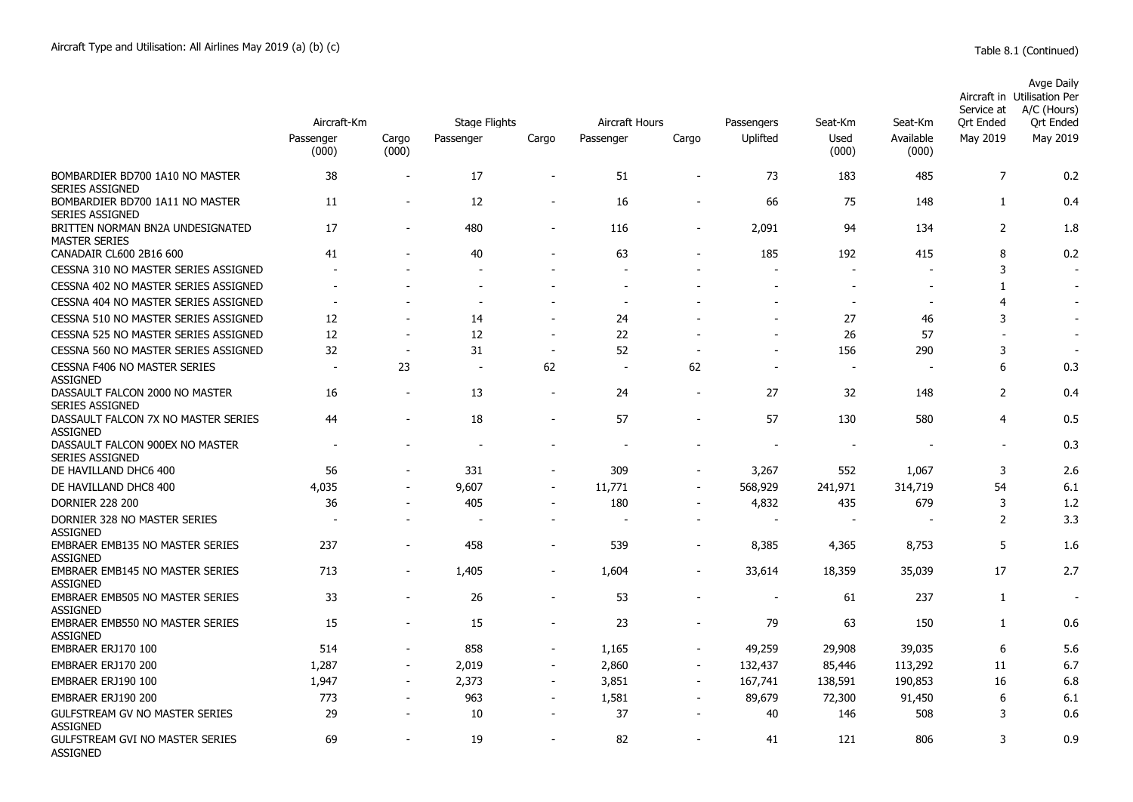|                                                           | Aircraft-Km              |                          | <b>Stage Flights</b>     |                          | Aircraft Hours           |                | Passengers               | Seat-Km                  | Seat-Km                  | Service at<br><b>Ort Ended</b> | Avge Daily<br>Aircraft in Utilisation Per<br>A/C (Hours)<br><b>Qrt Ended</b> |  |
|-----------------------------------------------------------|--------------------------|--------------------------|--------------------------|--------------------------|--------------------------|----------------|--------------------------|--------------------------|--------------------------|--------------------------------|------------------------------------------------------------------------------|--|
|                                                           | Passenger<br>(000)       | Cargo<br>(000)           | Passenger                | Cargo                    | Passenger                | Cargo          | Uplifted                 | Used<br>(000)            | Available<br>(000)       | May 2019                       | May 2019                                                                     |  |
| BOMBARDIER BD700 1A10 NO MASTER<br><b>SERIES ASSIGNED</b> | 38                       |                          | 17                       | $\overline{\phantom{a}}$ | 51                       |                | 73                       | 183                      | 485                      | $\overline{7}$                 | 0.2                                                                          |  |
| BOMBARDIER BD700 1A11 NO MASTER<br><b>SERIES ASSIGNED</b> | 11                       |                          | 12                       | $\overline{\phantom{a}}$ | 16                       |                | 66                       | 75                       | 148                      | $\mathbf{1}$                   | 0.4                                                                          |  |
| BRITTEN NORMAN BN2A UNDESIGNATED<br><b>MASTER SERIES</b>  | 17                       | $\overline{\phantom{a}}$ | 480                      | $\overline{\phantom{a}}$ | 116                      | $\blacksquare$ | 2,091                    | 94                       | 134                      | 2                              | 1.8                                                                          |  |
| CANADAIR CL600 2B16 600                                   | 41                       |                          | 40                       |                          | 63                       |                | 185                      | 192                      | 415                      | 8                              | 0.2                                                                          |  |
| CESSNA 310 NO MASTER SERIES ASSIGNED                      |                          |                          |                          |                          |                          |                |                          |                          |                          | 3                              |                                                                              |  |
| CESSNA 402 NO MASTER SERIES ASSIGNED                      |                          |                          |                          |                          | $\overline{\phantom{a}}$ |                |                          |                          | $\overline{\phantom{a}}$ | $\mathbf{1}$                   |                                                                              |  |
| CESSNA 404 NO MASTER SERIES ASSIGNED                      | $\overline{\phantom{a}}$ |                          | $\overline{\phantom{a}}$ |                          | $\overline{\phantom{a}}$ |                |                          | $\overline{\phantom{a}}$ | $\overline{\phantom{a}}$ | $\overline{4}$                 |                                                                              |  |
| CESSNA 510 NO MASTER SERIES ASSIGNED                      | 12                       |                          | 14                       |                          | 24                       |                |                          | 27                       | 46                       | 3                              | ÷                                                                            |  |
| CESSNA 525 NO MASTER SERIES ASSIGNED                      | 12                       |                          | 12                       | $\blacksquare$           | 22                       |                | $\overline{a}$           | 26                       | 57                       |                                |                                                                              |  |
| CESSNA 560 NO MASTER SERIES ASSIGNED                      | 32                       |                          | 31                       |                          | 52                       |                |                          | 156                      | 290                      | 3                              |                                                                              |  |
| <b>CESSNA F406 NO MASTER SERIES</b><br><b>ASSIGNED</b>    | $\sim$                   | 23                       |                          | 62                       | $\sim$                   | 62             | $\overline{a}$           |                          | $\overline{\phantom{a}}$ | 6                              | 0.3                                                                          |  |
| DASSAULT FALCON 2000 NO MASTER<br><b>SERIES ASSIGNED</b>  | 16                       |                          | 13                       | $\overline{\phantom{a}}$ | 24                       |                | 27                       | 32                       | 148                      | $\overline{2}$                 | 0.4                                                                          |  |
| DASSAULT FALCON 7X NO MASTER SERIES<br><b>ASSIGNED</b>    | 44                       |                          | 18                       |                          | 57                       |                | 57                       | 130                      | 580                      | $\overline{4}$                 | 0.5                                                                          |  |
| DASSAULT FALCON 900EX NO MASTER<br><b>SERIES ASSIGNED</b> | $\overline{\phantom{a}}$ |                          |                          |                          |                          |                | $\overline{\phantom{a}}$ |                          | $\overline{\phantom{a}}$ | ٠                              | 0.3                                                                          |  |
| DE HAVILLAND DHC6 400                                     | 56                       |                          | 331                      | $\overline{\phantom{a}}$ | 309                      |                | 3,267                    | 552                      | 1,067                    | 3                              | 2.6                                                                          |  |
| DE HAVILLAND DHC8 400                                     | 4,035                    |                          | 9,607                    | $\blacksquare$           | 11,771                   |                | 568,929                  | 241,971                  | 314,719                  | 54                             | 6.1                                                                          |  |
| <b>DORNIER 228 200</b>                                    | 36                       |                          | 405                      |                          | 180                      |                | 4,832                    | 435                      | 679                      | 3                              | 1.2                                                                          |  |
| DORNIER 328 NO MASTER SERIES<br><b>ASSIGNED</b>           |                          |                          |                          |                          | $\overline{\phantom{a}}$ | $\overline{a}$ | $\overline{a}$           |                          |                          | 2                              | 3.3                                                                          |  |
| <b>EMBRAER EMB135 NO MASTER SERIES</b><br><b>ASSIGNED</b> | 237                      |                          | 458                      |                          | 539                      |                | 8,385                    | 4,365                    | 8,753                    | 5                              | 1.6                                                                          |  |
| <b>EMBRAER EMB145 NO MASTER SERIES</b><br><b>ASSIGNED</b> | 713                      |                          | 1,405                    | $\overline{\phantom{a}}$ | 1,604                    |                | 33,614                   | 18,359                   | 35,039                   | 17                             | 2.7                                                                          |  |
| EMBRAER EMB505 NO MASTER SERIES<br><b>ASSIGNED</b>        | 33                       |                          | 26                       |                          | 53                       |                |                          | 61                       | 237                      | 1                              | $\overline{\phantom{a}}$                                                     |  |
| <b>EMBRAER EMB550 NO MASTER SERIES</b><br><b>ASSIGNED</b> | 15                       |                          | 15                       | $\blacksquare$           | 23                       |                | 79                       | 63                       | 150                      | 1                              | 0.6                                                                          |  |
| EMBRAER ERJ170 100                                        | 514                      |                          | 858                      | $\overline{\phantom{a}}$ | 1,165                    |                | 49,259                   | 29,908                   | 39,035                   | 6                              | 5.6                                                                          |  |
| EMBRAER ERJ170 200                                        | 1,287                    | $\sim$                   | 2,019                    | $\overline{\phantom{a}}$ | 2,860                    | $\sim$         | 132,437                  | 85,446                   | 113,292                  | 11                             | 6.7                                                                          |  |
| EMBRAER ERJ190 100                                        | 1,947                    |                          | 2,373                    | $\blacksquare$           | 3,851                    | $\blacksquare$ | 167,741                  | 138,591                  | 190,853                  | 16                             | 6.8                                                                          |  |
| EMBRAER ERJ190 200                                        | 773                      |                          | 963                      |                          | 1,581                    |                | 89,679                   | 72,300                   | 91,450                   | 6                              | 6.1                                                                          |  |
| GULFSTREAM GV NO MASTER SERIES<br><b>ASSIGNED</b>         | 29                       |                          | 10                       | $\blacksquare$           | 37                       |                | 40                       | 146                      | 508                      | 3                              | 0.6                                                                          |  |
| <b>GULFSTREAM GVI NO MASTER SERIES</b><br><b>ASSIGNED</b> | 69                       |                          | 19                       | $\sim$                   | 82                       |                | 41                       | 121                      | 806                      | 3                              | 0.9                                                                          |  |